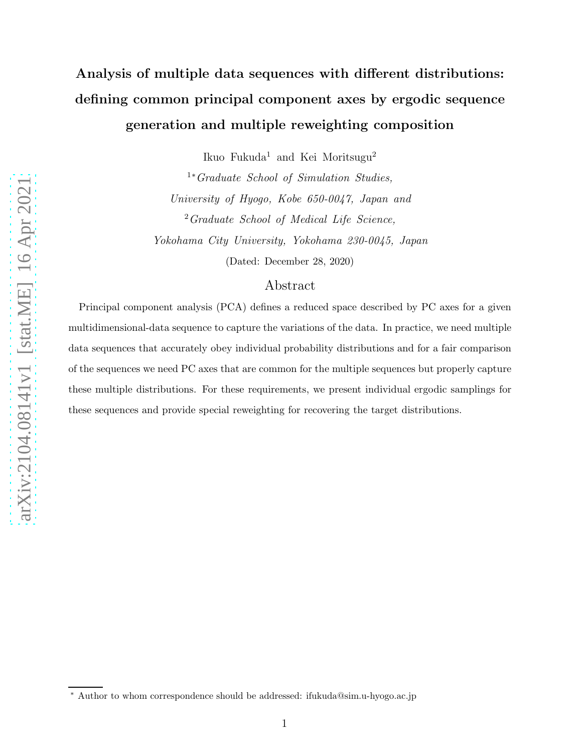# Analysis of multiple data sequences with different distributions: defining common principal component axes by ergodic sequence generation and multiple reweighting composition

Ikuo Fukuda<sup>1</sup> and Kei Moritsugu<sup>2</sup>

<sup>1</sup><sup>∗</sup>Graduate School of Simulation Studies, University of Hyogo, Kobe 650-0047, Japan and <sup>2</sup> Graduate School of Medical Life Science, Yokohama City University, Yokohama 230-0045, Japan (Dated: December 28, 2020)

## Abstract

Principal component analysis (PCA) defines a reduced space described by PC axes for a given multidimensional-data sequence to capture the variations of the data. In practice, we need multiple data sequences that accurately obey individual probability distributions and for a fair comparison of the sequences we need PC axes that are common for the multiple sequences but properly capture these multiple distributions. For these requirements, we present individual ergodic samplings for these sequences and provide special reweighting for recovering the target distributions.

arXiv:2104.08141v1 [stat.ME] 16 Apr 2021 [arXiv:2104.08141v1 \[stat.ME\] 16 Apr 2021](http://arxiv.org/abs/2104.08141v1)

<sup>∗</sup> Author to whom correspondence should be addressed: ifukuda@sim.u-hyogo.ac.jp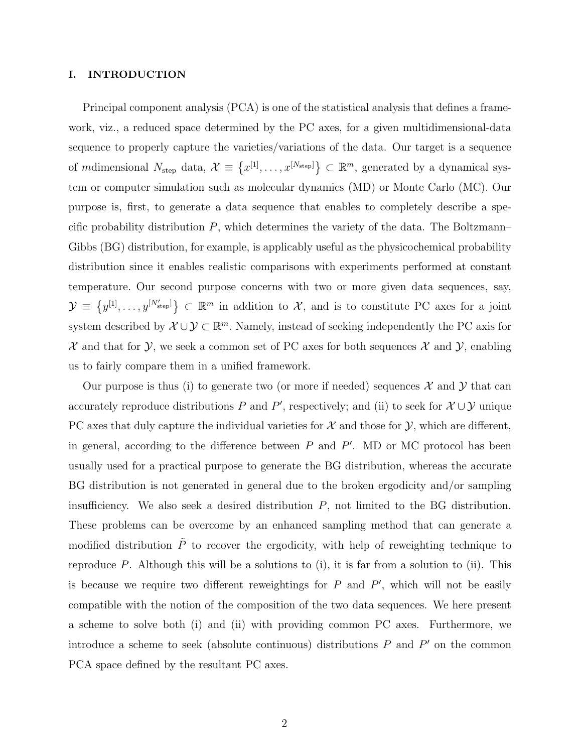## <span id="page-1-0"></span>I. INTRODUCTION

Principal component analysis (PCA) is one of the statistical analysis that defines a framework, viz., a reduced space determined by the PC axes, for a given multidimensional-data sequence to properly capture the varieties/variations of the data. Our target is a sequence of mdimensional  $N_{\text{step}}$  data,  $\mathcal{X} \equiv \{x^{[1]}, \ldots, x^{[N_{\text{step}}]}\}\subset \mathbb{R}^m$ , generated by a dynamical system or computer simulation such as molecular dynamics (MD) or Monte Carlo (MC). Our purpose is, first, to generate a data sequence that enables to completely describe a specific probability distribution  $P$ , which determines the variety of the data. The Boltzmann– Gibbs (BG) distribution, for example, is applicably useful as the physicochemical probability distribution since it enables realistic comparisons with experiments performed at constant temperature. Our second purpose concerns with two or more given data sequences, say,  $\mathcal{Y} \equiv \{y^{[1]}, \ldots, y^{[N'_{\text{step}}]}\}\subset \mathbb{R}^m$  in addition to X, and is to constitute PC axes for a joint system described by  $\mathcal{X} \cup \mathcal{Y} \subset \mathbb{R}^m$ . Namely, instead of seeking independently the PC axis for  $\mathcal X$  and that for  $\mathcal Y$ , we seek a common set of PC axes for both sequences  $\mathcal X$  and  $\mathcal Y$ , enabling us to fairly compare them in a unified framework.

Our purpose is thus (i) to generate two (or more if needed) sequences  $\mathcal X$  and  $\mathcal Y$  that can accurately reproduce distributions P and P', respectively; and (ii) to seek for  $\mathcal{X} \cup \mathcal{Y}$  unique PC axes that duly capture the individual varieties for  $\mathcal X$  and those for  $\mathcal Y$ , which are different, in general, according to the difference between  $P$  and  $P'$ . MD or MC protocol has been usually used for a practical purpose to generate the BG distribution, whereas the accurate BG distribution is not generated in general due to the broken ergodicity and/or sampling insufficiency. We also seek a desired distribution  $P$ , not limited to the BG distribution. These problems can be overcome by an enhanced sampling method that can generate a modified distribution  $\tilde{P}$  to recover the ergodicity, with help of reweighting technique to reproduce P. Although this will be a solutions to (i), it is far from a solution to (ii). This is because we require two different reweightings for  $P$  and  $P'$ , which will not be easily compatible with the notion of the composition of the two data sequences. We here present a scheme to solve both (i) and (ii) with providing common PC axes. Furthermore, we introduce a scheme to seek (absolute continuous) distributions  $P$  and  $P'$  on the common PCA space defined by the resultant PC axes.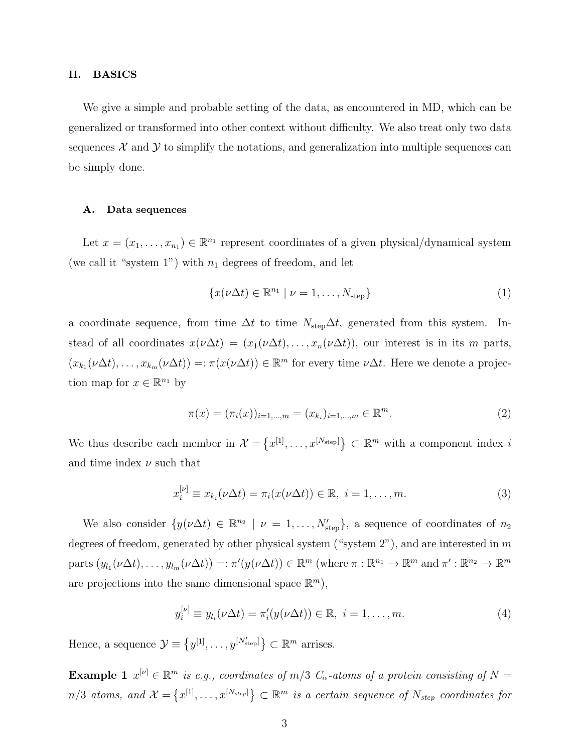#### II. BASICS

We give a simple and probable setting of the data, as encountered in MD, which can be generalized or transformed into other context without difficulty. We also treat only two data sequences  $\mathcal X$  and  $\mathcal Y$  to simplify the notations, and generalization into multiple sequences can be simply done.

#### A. Data sequences

Let  $x = (x_1, \ldots, x_{n_1}) \in \mathbb{R}^{n_1}$  represent coordinates of a given physical/dynamical system (we call it "system 1") with  $n_1$  degrees of freedom, and let

$$
\{x(\nu\Delta t) \in \mathbb{R}^{n_1} \mid \nu = 1, \dots, N_{\text{step}}\}\tag{1}
$$

a coordinate sequence, from time  $\Delta t$  to time  $N_{\text{step}}\Delta t$ , generated from this system. Instead of all coordinates  $x(\nu \Delta t) = (x_1(\nu \Delta t), \dots, x_n(\nu \Delta t))$ , our interest is in its m parts,  $(x_{k_1}(\nu \Delta t), \ldots, x_{k_m}(\nu \Delta t)) =: \pi(x(\nu \Delta t)) \in \mathbb{R}^m$  for every time  $\nu \Delta t$ . Here we denote a projection map for  $x \in \mathbb{R}^{n_1}$  by

<span id="page-2-2"></span>
$$
\pi(x) = (\pi_i(x))_{i=1,\dots,m} = (x_{k_i})_{i=1,\dots,m} \in \mathbb{R}^m.
$$
\n(2)

We thus describe each member in  $\mathcal{X} = \{x^{[1]}, \ldots, x^{[N_{\text{step}}]}\}\subset \mathbb{R}^m$  with a component index i and time index  $\nu$  such that

<span id="page-2-0"></span>
$$
x_i^{[\nu]} \equiv x_{k_i}(\nu \Delta t) = \pi_i(x(\nu \Delta t)) \in \mathbb{R}, \ i = 1, \dots, m. \tag{3}
$$

We also consider  $\{y(\nu\Delta t) \in \mathbb{R}^{n_2} \mid \nu = 1,\ldots,N'_{\text{step}}\}$ , a sequence of coordinates of  $n_2$ degrees of freedom, generated by other physical system ("system  $2$ "), and are interested in m parts  $(y_{l_1}(\nu \Delta t), \ldots, y_{l_m}(\nu \Delta t)) =: \pi'(y(\nu \Delta t)) \in \mathbb{R}^m$  (where  $\pi : \mathbb{R}^{n_1} \to \mathbb{R}^m$  and  $\pi' : \mathbb{R}^{n_2} \to \mathbb{R}^m$ are projections into the same dimensional space  $\mathbb{R}^m$ ),

<span id="page-2-1"></span>
$$
y_i^{[\nu]} \equiv y_{l_i}(\nu \Delta t) = \pi'_i(y(\nu \Delta t)) \in \mathbb{R}, \ i = 1, \dots, m. \tag{4}
$$

Hence, a sequence  $\mathcal{Y} \equiv \{y^{[1]}, \ldots, y^{[N'_{\text{step}}]}\}\subset \mathbb{R}^m$  arrises.

**Example 1**  $x^{[\nu]} \in \mathbb{R}^m$  is e.g., coordinates of  $m/3$   $C_{\alpha}$ -atoms of a protein consisting of  $N =$  $n/3$  atoms, and  $\mathcal{X} = \{x^{[1]}, \ldots, x^{[N_{step}]} \} \subset \mathbb{R}^m$  is a certain sequence of  $N_{step}$  coordinates for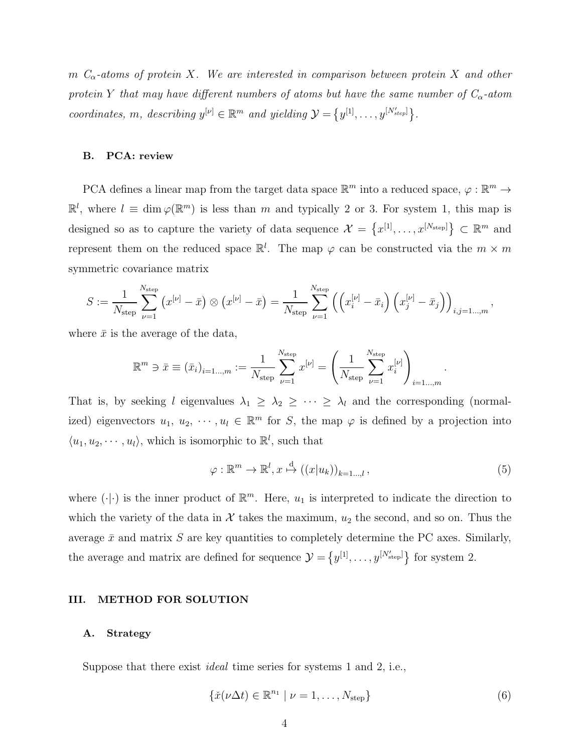m  $C_{\alpha}$ -atoms of protein X. We are interested in comparison between protein X and other protein Y that may have different numbers of atoms but have the same number of  $C_{\alpha}$ -atom coordinates, m, describing  $y^{[\nu]} \in \mathbb{R}^m$  and yielding  $\mathcal{Y} = \{y^{[1]}, \ldots, y^{[N'_{step}]} \}$ .

## B. PCA: review

PCA defines a linear map from the target data space  $\mathbb{R}^m$  into a reduced space,  $\varphi : \mathbb{R}^m \to$  $\mathbb{R}^l$ , where  $l \equiv \dim \varphi(\mathbb{R}^m)$  is less than m and typically 2 or 3. For system 1, this map is designed so as to capture the variety of data sequence  $\mathcal{X} = \{x^{[1]}, \ldots, x^{[N_{\text{step}}]}\}\subset \mathbb{R}^m$  and represent them on the reduced space  $\mathbb{R}^l$ . The map  $\varphi$  can be constructed via the  $m \times m$ symmetric covariance matrix

$$
S := \frac{1}{N_{\text{step}}} \sum_{\nu=1}^{N_{\text{step}}} (x^{[\nu]} - \bar{x}) \otimes (x^{[\nu]} - \bar{x}) = \frac{1}{N_{\text{step}}} \sum_{\nu=1}^{N_{\text{step}}} ((x_i^{[\nu]} - \bar{x}_i) (x_j^{[\nu]} - \bar{x}_j))_{i,j=1...,m},
$$

where  $\bar{x}$  is the average of the data,

$$
\mathbb{R}^m \ni \bar{x} \equiv (\bar{x}_i)_{i=1...,m} := \frac{1}{N_{\text{step}}} \sum_{\nu=1}^{N_{\text{step}}} x^{[\nu]} = \left(\frac{1}{N_{\text{step}}} \sum_{\nu=1}^{N_{\text{step}}} x_i^{[\nu]}\right)_{i=1...,m}
$$

That is, by seeking l eigenvalues  $\lambda_1 \geq \lambda_2 \geq \cdots \geq \lambda_l$  and the corresponding (normalized) eigenvectors  $u_1, u_2, \dots, u_l \in \mathbb{R}^m$  for S, the map  $\varphi$  is defined by a projection into  $\langle u_1, u_2, \cdots, u_l \rangle$ , which is isomorphic to  $\mathbb{R}^l$ , such that

<span id="page-3-1"></span>
$$
\varphi : \mathbb{R}^m \to \mathbb{R}^l, x \stackrel{\text{d}}{\mapsto} ((x|u_k))_{k=1...,l},
$$
\n
$$
(5)
$$

.

where  $(\cdot | \cdot)$  is the inner product of  $\mathbb{R}^m$ . Here,  $u_1$  is interpreted to indicate the direction to which the variety of the data in  $\mathcal X$  takes the maximum,  $u_2$  the second, and so on. Thus the average  $\bar{x}$  and matrix S are key quantities to completely determine the PC axes. Similarly, the average and matrix are defined for sequence  $\mathcal{Y} = \{y^{[1]}, \ldots, y^{[N'_{\text{step}}]}\}\)$  for system 2.

#### III. METHOD FOR SOLUTION

## A. Strategy

Suppose that there exist ideal time series for systems 1 and 2, i.e.,

<span id="page-3-0"></span>
$$
\{\check{x}(\nu\Delta t)\in\mathbb{R}^{n_1} \mid \nu=1,\ldots,N_{\text{step}}\}\tag{6}
$$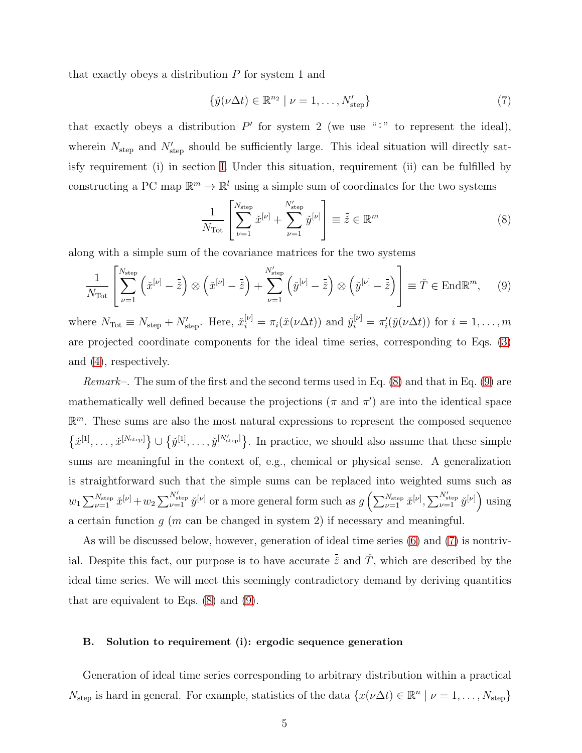that exactly obeys a distribution  $P$  for system 1 and

<span id="page-4-2"></span>
$$
\{\check{y}(\nu\Delta t) \in \mathbb{R}^{n_2} \mid \nu = 1, \dots, N'_{\text{step}}\}\tag{7}
$$

that exactly obeys a distribution  $P'$  for system 2 (we use "<sup>\*\*</sup>" to represent the ideal), wherein  $N_{\text{step}}$  and  $N'_{\text{step}}$  should be sufficiently large. This ideal situation will directly satisfy requirement (i) in section [I.](#page-1-0) Under this situation, requirement (ii) can be fulfilled by constructing a PC map  $\mathbb{R}^m \to \mathbb{R}^l$  using a simple sum of coordinates for the two systems

<span id="page-4-0"></span>
$$
\frac{1}{N_{\text{Tot}}}\left[\sum_{\nu=1}^{N_{\text{step}}} \tilde{x}^{[\nu]} + \sum_{\nu=1}^{N_{\text{step}}'} \tilde{y}^{[\nu]}\right] \equiv \tilde{z} \in \mathbb{R}^m \tag{8}
$$

along with a simple sum of the covariance matrices for the two systems

<span id="page-4-1"></span>
$$
\frac{1}{N_{\text{Tot}}}\left[\sum_{\nu=1}^{N_{\text{step}}}\left(\check{x}^{[\nu]}-\tilde{\check{z}}\right)\otimes\left(\check{x}^{[\nu]}-\tilde{\check{z}}\right)+\sum_{\nu=1}^{N_{\text{step}}'}\left(\check{y}^{[\nu]}-\tilde{\check{z}}\right)\otimes\left(\check{y}^{[\nu]}-\tilde{\check{z}}\right)\right]\equiv\check{T}\in\text{End}\mathbb{R}^m,\qquad(9)
$$

where  $N_{\text{Tot}} \equiv N_{\text{step}} + N'_{\text{step}}$ . Here,  $\tilde{x}_i^{[\nu]} = \pi_i(\tilde{x}(\nu \Delta t))$  and  $\tilde{y}_i^{[\nu]} = \pi'_i(\tilde{y}(\nu \Delta t))$  for  $i = 1, \ldots, m$ are projected coordinate components for the ideal time series, corresponding to Eqs. [\(3\)](#page-2-0) and [\(4\)](#page-2-1), respectively.

*Remark*–. The sum of the first and the second terms used in Eq.  $(8)$  and that in Eq.  $(9)$  are mathematically well defined because the projections ( $\pi$  and  $\pi'$ ) are into the identical space  $\mathbb{R}^m$ . These sums are also the most natural expressions to represent the composed sequence  $\{\check{x}^{[1]},\ldots,\check{x}^{[N_{\text{step}}]}\}\cup \{\check{y}^{[1]},\ldots,\check{y}^{[N'_{\text{step}}]}\}\.$  In practice, we should also assume that these simple sums are meaningful in the context of, e.g., chemical or physical sense. A generalization is straightforward such that the simple sums can be replaced into weighted sums such as  $w_1 \sum_{\nu=1}^{N_{\text{step}}} \check{x}^{[\nu]} + w_2 \sum_{\nu=1}^{N'_{\text{step}}} \check{y}^{[\nu]}$  or a more general form such as  $g\left(\sum_{\nu=1}^{N_{\text{step}}} \check{x}^{[\nu]}, \sum_{\nu=1}^{N'_{\text{step}}} \check{y}^{[\nu]}\right)$  using a certain function  $q$  (m can be changed in system 2) if necessary and meaningful.

As will be discussed below, however, generation of ideal time series [\(6\)](#page-3-0) and [\(7\)](#page-4-2) is nontrivial. Despite this fact, our purpose is to have accurate  $\bar{z}$  and  $\tilde{T}$ , which are described by the ideal time series. We will meet this seemingly contradictory demand by deriving quantities that are equivalent to Eqs. [\(8\)](#page-4-0) and [\(9\)](#page-4-1).

#### B. Solution to requirement (i): ergodic sequence generation

Generation of ideal time series corresponding to arbitrary distribution within a practical  $N_{\text{step}}$  is hard in general. For example, statistics of the data  $\{x(\nu\Delta t) \in \mathbb{R}^n \mid \nu = 1, \ldots, N_{\text{step}}\}$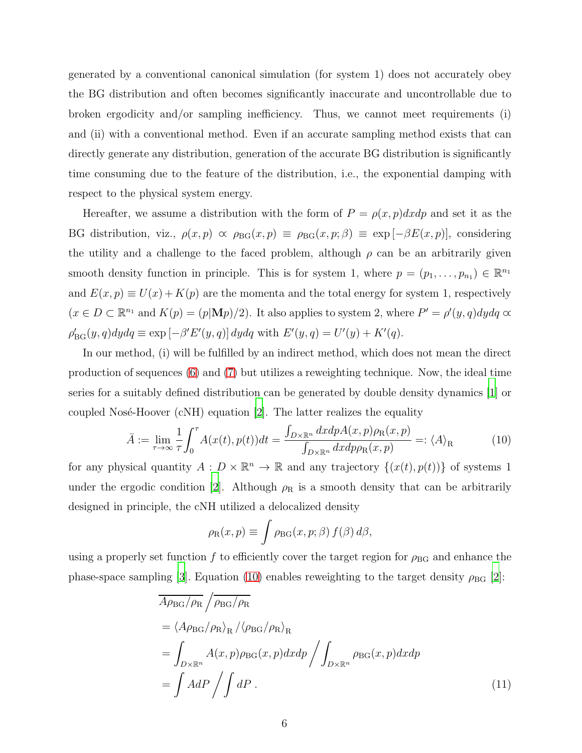generated by a conventional canonical simulation (for system 1) does not accurately obey the BG distribution and often becomes significantly inaccurate and uncontrollable due to broken ergodicity and/or sampling inefficiency. Thus, we cannot meet requirements (i) and (ii) with a conventional method. Even if an accurate sampling method exists that can directly generate any distribution, generation of the accurate BG distribution is significantly time consuming due to the feature of the distribution, i.e., the exponential damping with respect to the physical system energy.

Hereafter, we assume a distribution with the form of  $P = \rho(x, p)dx dp$  and set it as the BG distribution, viz.,  $\rho(x, p) \propto \rho_{\text{BG}}(x, p) \equiv \rho_{\text{BG}}(x, p; \beta) \equiv \exp[-\beta E(x, p)]$ , considering the utility and a challenge to the faced problem, although  $\rho$  can be an arbitrarily given smooth density function in principle. This is for system 1, where  $p = (p_1, \ldots, p_{n_1}) \in \mathbb{R}^{n_1}$ and  $E(x, p) \equiv U(x) + K(p)$  are the momenta and the total energy for system 1, respectively  $(x \in D \subset \mathbb{R}^{n_1}$  and  $K(p) = (p|\mathbf{M}p)/2)$ . It also applies to system 2, where  $P' = \rho'(y, q)dydq \propto$  $\rho'_{\text{BG}}(y, q)dydq \equiv \exp \left[-\beta' E'(y, q)\right] dydq$  with  $E'(y, q) = U'(y) + K'(q)$ .

In our method, (i) will be fulfilled by an indirect method, which does not mean the direct production of sequences [\(6\)](#page-3-0) and [\(7\)](#page-4-2) but utilizes a reweighting technique. Now, the ideal time series for a suitably defined distribution can be generated by double density dynamics [\[1](#page-10-0)] or coupled Nosé-Hoover (cNH) equation  $[2]$ . The latter realizes the equality

<span id="page-5-0"></span>
$$
\bar{A} := \lim_{\tau \to \infty} \frac{1}{\tau} \int_0^{\tau} A(x(t), p(t)) dt = \frac{\int_{D \times \mathbb{R}^n} dx dp A(x, p) \rho_R(x, p)}{\int_{D \times \mathbb{R}^n} dx dp \rho_R(x, p)} =: \langle A \rangle_R \tag{10}
$$

for any physical quantity  $A: D \times \mathbb{R}^n \to \mathbb{R}$  and any trajectory  $\{(x(t), p(t))\}$  of systems 1 under the ergodic condition [\[2\]](#page-10-1). Although  $\rho_R$  is a smooth density that can be arbitrarily designed in principle, the cNH utilized a delocalized density

<span id="page-5-1"></span>
$$
\rho_{\rm R}(x,p) \equiv \int \rho_{\rm BG}(x,p;\beta) f(\beta) d\beta,
$$

using a properly set function f to efficiently cover the target region for  $\rho_{BG}$  and enhance the phase-space sampling [\[3\]](#page-10-2). Equation [\(10\)](#page-5-0) enables reweighting to the target density  $\rho_{\rm BG}$  [\[2](#page-10-1)]:

$$
\overline{A\rho_{BG}/\rho_R} / \overline{\rho_{BG}/\rho_R}
$$
\n
$$
= \langle A\rho_{BG}/\rho_R \rangle_R / \langle \rho_{BG}/\rho_R \rangle_R
$$
\n
$$
= \int_{D \times \mathbb{R}^n} A(x, p)\rho_{BG}(x, p) dx dp / \int_{D \times \mathbb{R}^n} \rho_{BG}(x, p) dx dp
$$
\n
$$
= \int A dP / \int dP . \qquad (11)
$$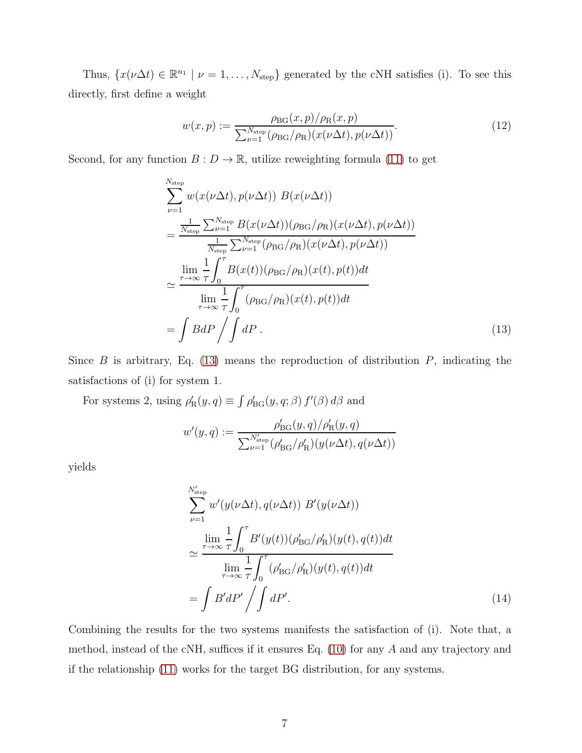Thus,  $\{x(\nu\Delta t) \in \mathbb{R}^{n_1} \mid \nu = 1,\ldots,N_{\text{step}}\}$  generated by the cNH satisfies (i). To see this directly, first define a weight

<span id="page-6-2"></span>
$$
w(x,p) := \frac{\rho_{\text{BG}}(x,p)/\rho_{\text{R}}(x,p)}{\sum_{\nu=1}^{N_{\text{step}}} (\rho_{\text{BG}}/\rho_{\text{R}})(x(\nu\Delta t), p(\nu\Delta t))}.
$$
\n(12)

Second, for any function  $B: D \to \mathbb{R}$ , utilize reweighting formula [\(11\)](#page-5-1) to get

$$
\sum_{\nu=1}^{N_{\text{step}}} w(x(\nu \Delta t), p(\nu \Delta t)) B(x(\nu \Delta t))
$$
\n
$$
= \frac{\frac{1}{N_{\text{step}}} \sum_{\nu=1}^{N_{\text{step}}} B(x(\nu \Delta t)) (\rho_{\text{BG}}/\rho_{\text{R}})(x(\nu \Delta t), p(\nu \Delta t))}{\frac{1}{N_{\text{step}}} \sum_{\nu=1}^{N_{\text{step}}} (\rho_{\text{BG}}/\rho_{\text{R}})(x(\nu \Delta t), p(\nu \Delta t))}
$$
\n
$$
\approx \frac{\lim_{\tau \to \infty} \frac{1}{\tau} \int_{0}^{\tau} B(x(t)) (\rho_{\text{BG}}/\rho_{\text{R}})(x(t), p(t)) dt}{\lim_{\tau \to \infty} \frac{1}{\tau} \int_{0}^{\tau} (\rho_{\text{BG}}/\rho_{\text{R}})(x(t), p(t)) dt}
$$
\n
$$
= \int B dP \int \int dP .
$$
\n(13)

Since  $B$  is arbitrary, Eq. [\(13\)](#page-6-0) means the reproduction of distribution  $P$ , indicating the satisfactions of (i) for system 1.

For systems 2, using  $\rho'_R(y, q) \equiv \int \rho'_{BG}(y, q; \beta) f'(\beta) d\beta$  and

<span id="page-6-0"></span>
$$
w'(y,q) := \frac{\rho'_{\text{BG}}(y,q)/\rho'_{\text{R}}(y,q)}{\sum_{\nu=1}^{N'_{\text{step}}} (\rho'_{\text{BG}}/\rho'_{\text{R}})(y(\nu \Delta t), q(\nu \Delta t))}
$$

yields

<span id="page-6-1"></span>
$$
\sum_{\nu=1}^{N'_{\text{step}}} w'(y(\nu \Delta t), q(\nu \Delta t)) B'(y(\nu \Delta t))
$$
\n
$$
\simeq \frac{\lim_{\tau \to \infty} \frac{1}{\tau} \int_0^{\tau} B'(y(t)) (\rho'_{\text{BG}}/\rho'_{\text{R}})(y(t), q(t)) dt}{\lim_{\tau \to \infty} \frac{1}{\tau} \int_0^{\tau} (\rho'_{\text{BG}}/\rho'_{\text{R}})(y(t), q(t)) dt}
$$
\n
$$
= \int B' dP' \Big/ \int dP'.
$$
\n(14)

Combining the results for the two systems manifests the satisfaction of (i). Note that, a method, instead of the cNH, suffices if it ensures Eq. [\(10\)](#page-5-0) for any A and any trajectory and if the relationship [\(11\)](#page-5-1) works for the target BG distribution, for any systems.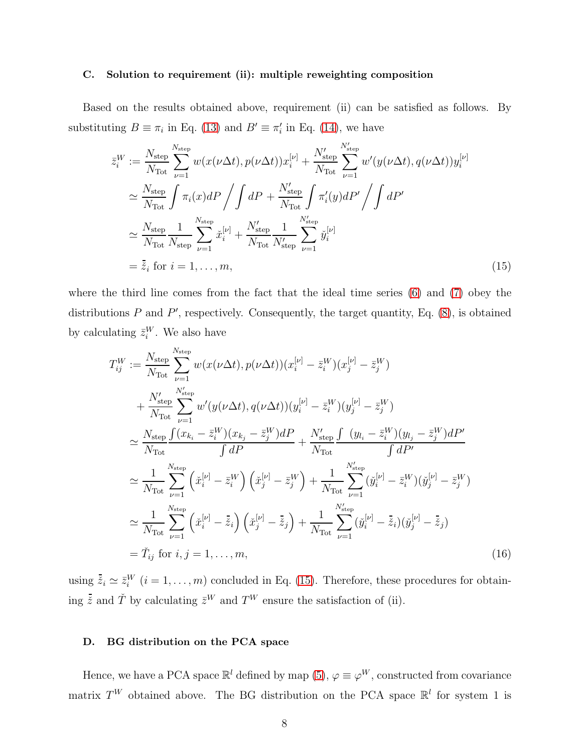#### C. Solution to requirement (ii): multiple reweighting composition

Based on the results obtained above, requirement (ii) can be satisfied as follows. By substituting  $B \equiv \pi_i$  in Eq. [\(13\)](#page-6-0) and  $B' \equiv \pi'_i$  in Eq. [\(14\)](#page-6-1), we have

<span id="page-7-0"></span>
$$
\bar{z}_{i}^{W} := \frac{N_{\text{step}}}{N_{\text{Tot}}}\sum_{\nu=1}^{N_{\text{step}}} w(x(\nu\Delta t), p(\nu\Delta t))x_{i}^{[\nu]} + \frac{N_{\text{step}}'}{N_{\text{Tot}}}\sum_{\nu=1}^{N_{\text{step}}'} w'(y(\nu\Delta t), q(\nu\Delta t))y_{i}^{[\nu]}
$$
\n
$$
\simeq \frac{N_{\text{step}}}{N_{\text{Tot}}}\int \pi_{i}(x)dP \Big/ \int dP + \frac{N_{\text{step}}'}{N_{\text{Tot}}}\int \pi_{i}'(y)dP' \Big/ \int dP'
$$
\n
$$
\simeq \frac{N_{\text{step}}}{N_{\text{Tot}}}\frac{1}{N_{\text{step}}}\sum_{\nu=1}^{N_{\text{step}}}\tilde{x}_{i}^{[\nu]} + \frac{N_{\text{step}}'}{N_{\text{Tot}}}\frac{1}{N_{\text{step}}'}\sum_{\nu=1}^{N_{\text{step}}'}\tilde{y}_{i}^{[\nu]}
$$
\n
$$
= \tilde{z}_{i} \text{ for } i = 1, ..., m,
$$
\n(15)

where the third line comes from the fact that the ideal time series [\(6\)](#page-3-0) and [\(7\)](#page-4-2) obey the distributions  $P$  and  $P'$ , respectively. Consequently, the target quantity, Eq.  $(8)$ , is obtained by calculating  $\bar{z}_i^W$ . We also have

$$
T_{ij}^{W} := \frac{N_{\text{step}}}{N_{\text{Tot}}} \sum_{\nu=1}^{N_{\text{step}}} w(x(\nu \Delta t), p(\nu \Delta t))(x_{i}^{[\nu]} - \bar{z}_{i}^{W})(x_{j}^{[\nu]} - \bar{z}_{j}^{W}) + \frac{N_{\text{step}}'}{N_{\text{Tot}}} \sum_{\nu=1}^{N_{\text{step}}'} w'(y(\nu \Delta t), q(\nu \Delta t))(y_{i}^{[\nu]} - \bar{z}_{i}^{W})(y_{j}^{[\nu]} - \bar{z}_{j}^{W}) \approx \frac{N_{\text{step}}}{N_{\text{Tot}}} \frac{\int (x_{k_{i}} - \bar{z}_{i}^{W})(x_{k_{j}} - \bar{z}_{j}^{W})dP}{\int dP} + \frac{N_{\text{step}}'}{N_{\text{Tot}}} \frac{\int (y_{l_{i}} - \bar{z}_{i}^{W})(y_{l_{j}} - \bar{z}_{j}^{W})dP'}{\int dP'} \approx \frac{1}{N_{\text{Tot}}} \sum_{\nu=1}^{N_{\text{step}}} (\tilde{x}_{i}^{[\nu]} - \bar{z}_{i}^{W}) (\tilde{x}_{j}^{[\nu]} - \bar{z}_{j}^{W}) + \frac{1}{N_{\text{Tot}}} \sum_{\nu=1}^{N_{\text{step}}'} (\tilde{y}_{i}^{[\nu]} - \bar{z}_{i}^{W})(\tilde{y}_{j}^{[\nu]} - \bar{z}_{j}^{W}) \approx \frac{1}{N_{\text{Tot}}} \sum_{\nu=1}^{N_{\text{step}}'} (\tilde{x}_{i}^{[\nu]} - \tilde{z}_{i}) (\tilde{x}_{j}^{[\nu]} - \tilde{z}_{j}) + \frac{1}{N_{\text{Tot}}} \sum_{\nu=1}^{N_{\text{step}}'} (\tilde{y}_{i}^{[\nu]} - \tilde{z}_{i}) (\tilde{y}_{j}^{[\nu]} - \tilde{z}_{j}) = \tilde{T}_{ij} \text{ for } i, j = 1, ..., m,
$$
\n(16)

using  $\bar{z}_i \simeq \bar{z}_i^W$   $(i = 1, \ldots, m)$  concluded in Eq. [\(15\)](#page-7-0). Therefore, these procedures for obtaining  $\bar{z}$  and  $\check{T}$  by calculating  $\bar{z}^W$  and  $T^W$  ensure the satisfaction of (ii).

## <span id="page-7-1"></span>D. BG distribution on the PCA space

Hence, we have a PCA space  $\mathbb{R}^l$  defined by map  $(5)$ ,  $\varphi \equiv \varphi^W$ , constructed from covariance matrix  $T^W$  obtained above. The BG distribution on the PCA space  $\mathbb{R}^l$  for system 1 is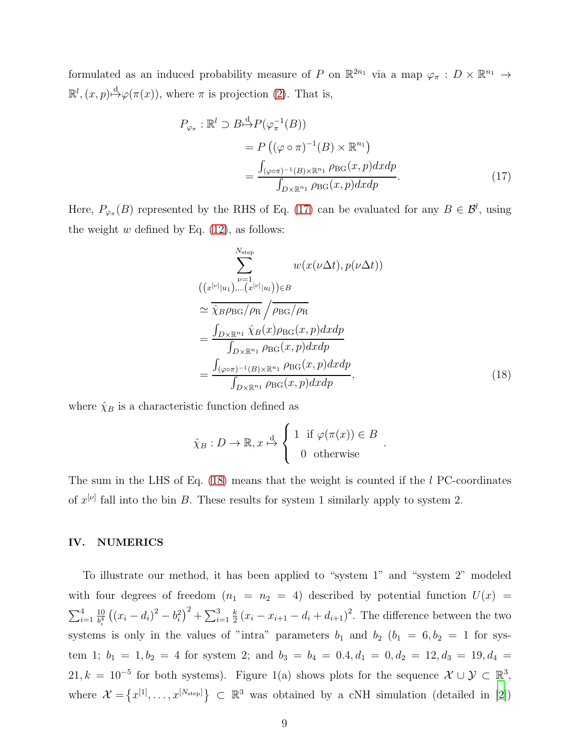formulated as an induced probability measure of P on  $\mathbb{R}^{2n_1}$  via a map  $\varphi_{\pi}: D \times \mathbb{R}^{n_1} \to$  $\mathbb{R}^l$ ,  $(x, p) \stackrel{d}{\mapsto} \varphi(\pi(x))$ , where  $\pi$  is projection [\(2\)](#page-2-2). That is,

$$
P_{\varphi_{\pi}} : \mathbb{R}^{l} \supset B \stackrel{\mathrm{d}}{\mapsto} P(\varphi_{\pi}^{-1}(B))
$$
  
=  $P((\varphi \circ \pi)^{-1}(B) \times \mathbb{R}^{n_1})$   
=  $\frac{\int_{(\varphi \circ \pi)^{-1}(B) \times \mathbb{R}^{n_1} P \to G}(x, p) dx dp}{\int_{D \times \mathbb{R}^{n_1} P \to G}(x, p) dx dp}.$  (17)

Here,  $P_{\varphi_{\pi}}(B)$  represented by the RHS of Eq. [\(17\)](#page-8-0) can be evaluated for any  $B \in \mathcal{B}^l$ , using the weight  $w$  defined by Eq.  $(12)$ , as follows:

$$
\sum_{\nu=1}^{N_{\text{step}}} w(x(\nu \Delta t), p(\nu \Delta t))
$$
  

$$
((x^{[\nu] | u_1}) \dots (x^{[\nu]} | u_l)) \in B
$$
  

$$
\approx \overline{\hat{\chi}_{B} \rho_{BG} / \rho_{R}} / \overline{\rho_{BG} / \rho_{R}}
$$
  

$$
= \frac{\int_{D \times \mathbb{R}^{n_1}} \hat{\chi}_{B}(x) \rho_{BG}(x, p) dx dp}{\int_{D \times \mathbb{R}^{n_1}} \rho_{BG}(x, p) dx dp}
$$
  

$$
= \frac{\int_{(\varphi \circ \pi)^{-1}(B) \times \mathbb{R}^{n_1}} \rho_{BG}(x, p) dx dp}{\int_{D \times \mathbb{R}^{n_1}} \rho_{BG}(x, p) dx dp},
$$
 (18)

<span id="page-8-1"></span><span id="page-8-0"></span>.

where  $\hat{\chi}_B$  is a characteristic function defined as

$$
\hat{\chi}_B: D \to \mathbb{R}, x \stackrel{\text{d}}{\mapsto} \begin{cases} 1 & \text{if } \varphi(\pi(x)) \in B \\ 0 & \text{otherwise} \end{cases}
$$

The sum in the LHS of Eq. [\(18\)](#page-8-1) means that the weight is counted if the l PC-coordinates of  $x^{[\nu]}$  fall into the bin B. These results for system 1 similarly apply to system 2.

### IV. NUMERICS

To illustrate our method, it has been applied to "system 1" and "system 2" modeled with four degrees of freedom  $(n_1 = n_2 = 4)$  described by potential function  $U(x)$  $\sum_{i=1}^4$ 10  $\frac{10}{b_i^4} ((x_i - d_i)^2 - b_i^2)^2 + \sum_{i=1}^3$ k  $\frac{k}{2}(x_i - x_{i+1} - d_i + d_{i+1})^2$ . The difference between the two systems is only in the values of "intra" parameters  $b_1$  and  $b_2$  ( $b_1 = 6, b_2 = 1$  for system 1;  $b_1 = 1, b_2 = 4$  for system 2; and  $b_3 = b_4 = 0.4, d_1 = 0, d_2 = 12, d_3 = 19, d_4 = 1$ 21,  $k = 10^{-5}$  for both systems). Figure 1(a) shows plots for the sequence  $\mathcal{X} \cup \mathcal{Y} \subset \mathbb{R}^3$ , where  $\mathcal{X} = \{x^{[1]}, \ldots, x^{[N_{\text{step}}]}\}\subset \mathbb{R}^3$  was obtained by a cNH simulation (detailed in [\[2\]](#page-10-1))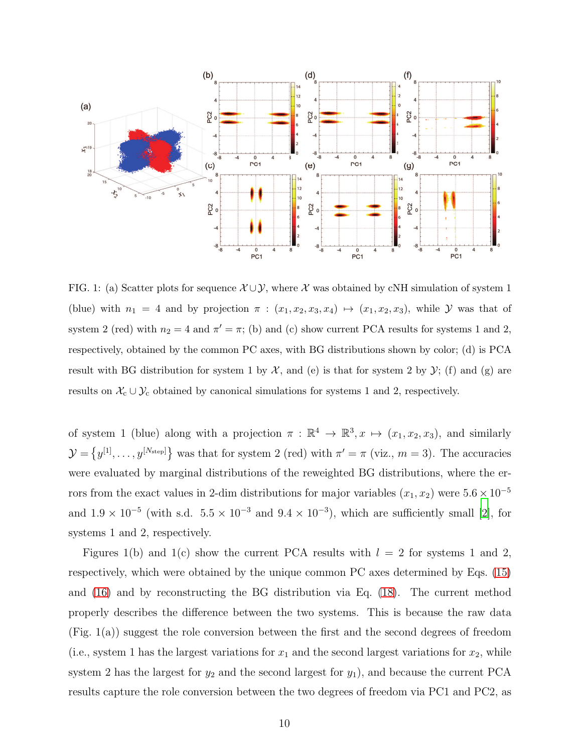

FIG. 1: (a) Scatter plots for sequence  $\mathcal{X} \cup \mathcal{Y}$ , where X was obtained by cNH simulation of system 1 (blue) with  $n_1 = 4$  and by projection  $\pi : (x_1, x_2, x_3, x_4) \mapsto (x_1, x_2, x_3)$ , while  $\mathcal Y$  was that of system 2 (red) with  $n_2 = 4$  and  $\pi' = \pi$ ; (b) and (c) show current PCA results for systems 1 and 2, respectively, obtained by the common PC axes, with BG distributions shown by color; (d) is PCA result with BG distribution for system 1 by  $\mathcal{X}$ , and (e) is that for system 2 by  $\mathcal{Y}$ ; (f) and (g) are results on  $\mathcal{X}_{c} \cup \mathcal{Y}_{c}$  obtained by canonical simulations for systems 1 and 2, respectively.

of system 1 (blue) along with a projection  $\pi : \mathbb{R}^4 \to \mathbb{R}^3, x \mapsto (x_1, x_2, x_3)$ , and similarly  $\mathcal{Y} = \{y^{[1]}, \ldots, y^{[N_{\text{step}}]}\}\$  was that for system 2 (red) with  $\pi' = \pi$  (viz.,  $m = 3$ ). The accuracies were evaluated by marginal distributions of the reweighted BG distributions, where the errors from the exact values in 2-dim distributions for major variables  $(x_1, x_2)$  were  $5.6 \times 10^{-5}$ and  $1.9 \times 10^{-5}$  (with s.d.  $5.5 \times 10^{-3}$  and  $9.4 \times 10^{-3}$ ), which are sufficiently small [\[2\]](#page-10-1), for systems 1 and 2, respectively.

Figures 1(b) and 1(c) show the current PCA results with  $l = 2$  for systems 1 and 2, respectively, which were obtained by the unique common PC axes determined by Eqs. [\(15\)](#page-7-0) and [\(16\)](#page-7-1) and by reconstructing the BG distribution via Eq. [\(18\)](#page-8-1). The current method properly describes the difference between the two systems. This is because the raw data (Fig. 1(a)) suggest the role conversion between the first and the second degrees of freedom (i.e., system 1 has the largest variations for  $x_1$  and the second largest variations for  $x_2$ , while system 2 has the largest for  $y_2$  and the second largest for  $y_1$ ), and because the current PCA results capture the role conversion between the two degrees of freedom via PC1 and PC2, as